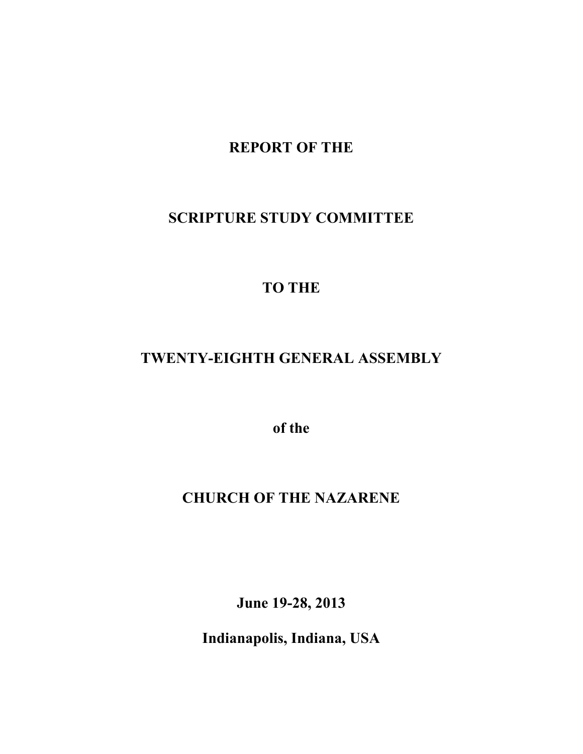## **REPORT OF THE**

# **SCRIPTURE STUDY COMMITTEE**

# **TO THE**

## **TWENTY-EIGHTH GENERAL ASSEMBLY**

**of the**

### **CHURCH OF THE NAZARENE**

**June 19-28, 2013**

**Indianapolis, Indiana, USA**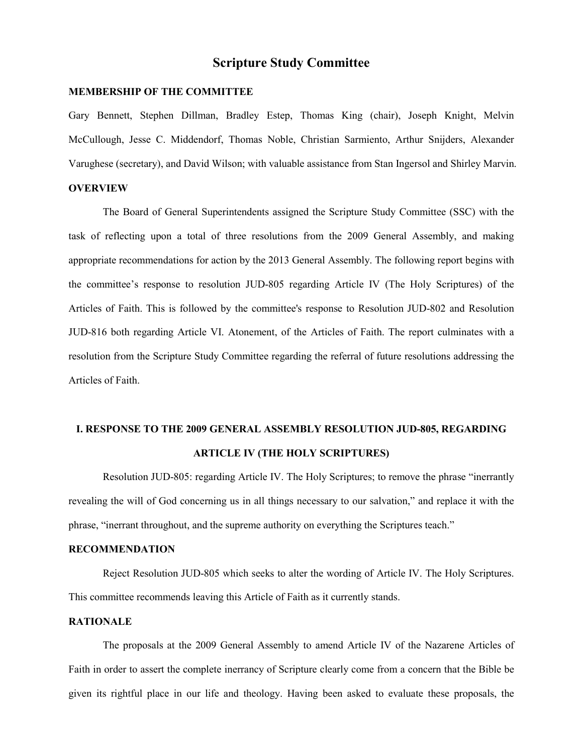### **Scripture Study Committee**

#### **MEMBERSHIP OF THE COMMITTEE**

Gary Bennett, Stephen Dillman, Bradley Estep, Thomas King (chair), Joseph Knight, Melvin McCullough, Jesse C. Middendorf, Thomas Noble, Christian Sarmiento, Arthur Snijders, Alexander Varughese (secretary), and David Wilson; with valuable assistance from Stan Ingersol and Shirley Marvin.

#### **OVERVIEW**

The Board of General Superintendents assigned the Scripture Study Committee (SSC) with the task of reflecting upon a total of three resolutions from the 2009 General Assembly, and making appropriate recommendations for action by the 2013 General Assembly. The following report begins with the committee's response to resolution JUD-805 regarding Article IV (The Holy Scriptures) of the Articles of Faith. This is followed by the committee's response to Resolution JUD-802 and Resolution JUD-816 both regarding Article VI. Atonement, of the Articles of Faith. The report culminates with a resolution from the Scripture Study Committee regarding the referral of future resolutions addressing the Articles of Faith.

### **I. RESPONSE TO THE 2009 GENERAL ASSEMBLY RESOLUTION JUD-805, REGARDING ARTICLE IV (THE HOLY SCRIPTURES)**

Resolution JUD-805: regarding Article IV. The Holy Scriptures; to remove the phrase "inerrantly revealing the will of God concerning us in all things necessary to our salvation," and replace it with the phrase, "inerrant throughout, and the supreme authority on everything the Scriptures teach."

#### **RECOMMENDATION**

Reject Resolution JUD-805 which seeks to alter the wording of Article IV. The Holy Scriptures. This committee recommends leaving this Article of Faith as it currently stands.

#### **RATIONALE**

The proposals at the 2009 General Assembly to amend Article IV of the Nazarene Articles of Faith in order to assert the complete inerrancy of Scripture clearly come from a concern that the Bible be given its rightful place in our life and theology. Having been asked to evaluate these proposals, the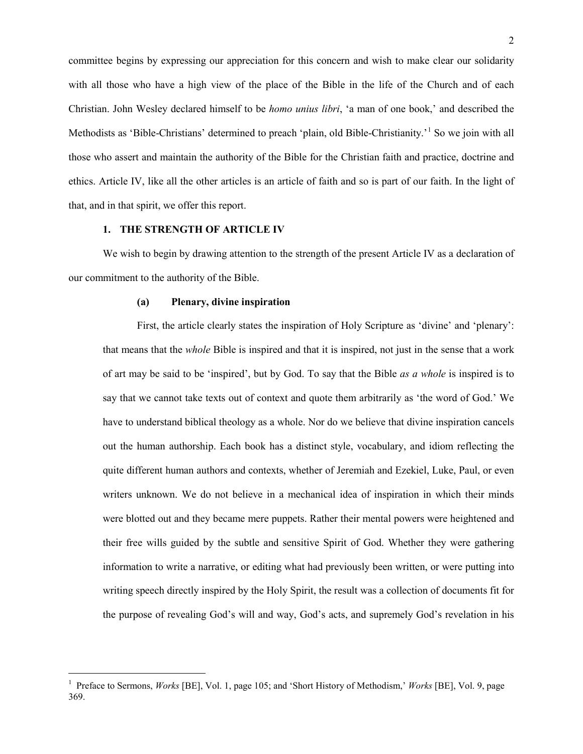committee begins by expressing our appreciation for this concern and wish to make clear our solidarity with all those who have a high view of the place of the Bible in the life of the Church and of each Christian. John Wesley declared himself to be *homo unius libri*, 'a man of one book,' and described the Methodists as 'Bible-Christians' determined to preach 'plain, old Bible-Christianity.'<sup>[1](#page-2-0)</sup> So we join with all those who assert and maintain the authority of the Bible for the Christian faith and practice, doctrine and ethics. Article IV, like all the other articles is an article of faith and so is part of our faith. In the light of that, and in that spirit, we offer this report.

#### **1. THE STRENGTH OF ARTICLE IV**

l

We wish to begin by drawing attention to the strength of the present Article IV as a declaration of our commitment to the authority of the Bible.

#### **(a) Plenary, divine inspiration**

First, the article clearly states the inspiration of Holy Scripture as 'divine' and 'plenary': that means that the *whole* Bible is inspired and that it is inspired, not just in the sense that a work of art may be said to be 'inspired', but by God. To say that the Bible *as a whole* is inspired is to say that we cannot take texts out of context and quote them arbitrarily as 'the word of God.' We have to understand biblical theology as a whole. Nor do we believe that divine inspiration cancels out the human authorship. Each book has a distinct style, vocabulary, and idiom reflecting the quite different human authors and contexts, whether of Jeremiah and Ezekiel, Luke, Paul, or even writers unknown. We do not believe in a mechanical idea of inspiration in which their minds were blotted out and they became mere puppets. Rather their mental powers were heightened and their free wills guided by the subtle and sensitive Spirit of God. Whether they were gathering information to write a narrative, or editing what had previously been written, or were putting into writing speech directly inspired by the Holy Spirit, the result was a collection of documents fit for the purpose of revealing God's will and way, God's acts, and supremely God's revelation in his

<span id="page-2-0"></span><sup>&</sup>lt;sup>1</sup> Preface to Sermons, *Works* [BE], Vol. 1, page 105; and 'Short History of Methodism,' *Works* [BE], Vol. 9, page 369.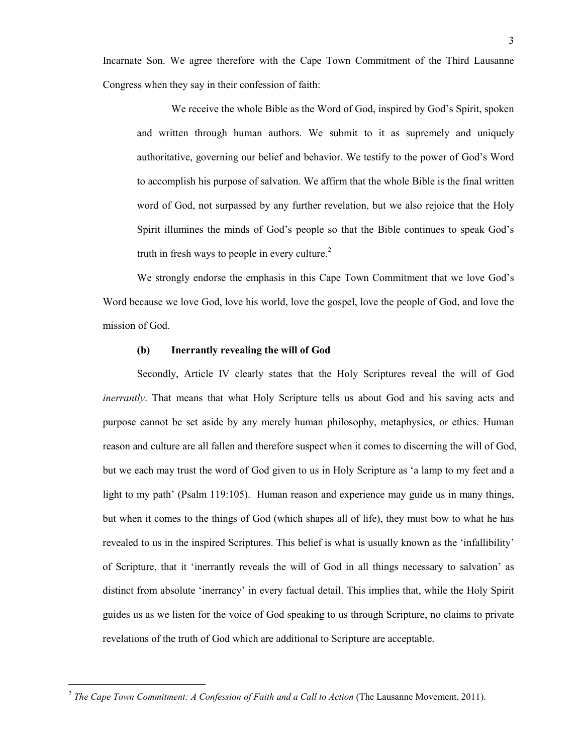Incarnate Son. We agree therefore with the Cape Town Commitment of the Third Lausanne Congress when they say in their confession of faith:

We receive the whole Bible as the Word of God, inspired by God's Spirit, spoken and written through human authors. We submit to it as supremely and uniquely authoritative, governing our belief and behavior. We testify to the power of God's Word to accomplish his purpose of salvation. We affirm that the whole Bible is the final written word of God, not surpassed by any further revelation, but we also rejoice that the Holy Spirit illumines the minds of God's people so that the Bible continues to speak God's truth in fresh ways to people in every culture. $2$ 

We strongly endorse the emphasis in this Cape Town Commitment that we love God's Word because we love God, love his world, love the gospel, love the people of God, and love the mission of God.

#### **(b) Inerrantly revealing the will of God**

Secondly, Article IV clearly states that the Holy Scriptures reveal the will of God *inerrantly*. That means that what Holy Scripture tells us about God and his saving acts and purpose cannot be set aside by any merely human philosophy, metaphysics, or ethics. Human reason and culture are all fallen and therefore suspect when it comes to discerning the will of God, but we each may trust the word of God given to us in Holy Scripture as 'a lamp to my feet and a light to my path' (Psalm 119:105). Human reason and experience may guide us in many things, but when it comes to the things of God (which shapes all of life), they must bow to what he has revealed to us in the inspired Scriptures. This belief is what is usually known as the 'infallibility' of Scripture, that it 'inerrantly reveals the will of God in all things necessary to salvation' as distinct from absolute 'inerrancy' in every factual detail. This implies that, while the Holy Spirit guides us as we listen for the voice of God speaking to us through Scripture, no claims to private revelations of the truth of God which are additional to Scripture are acceptable.

<span id="page-3-0"></span><sup>2</sup> *The Cape Town Commitment: A Confession of Faith and a Call to Action* (The Lausanne Movement, 2011).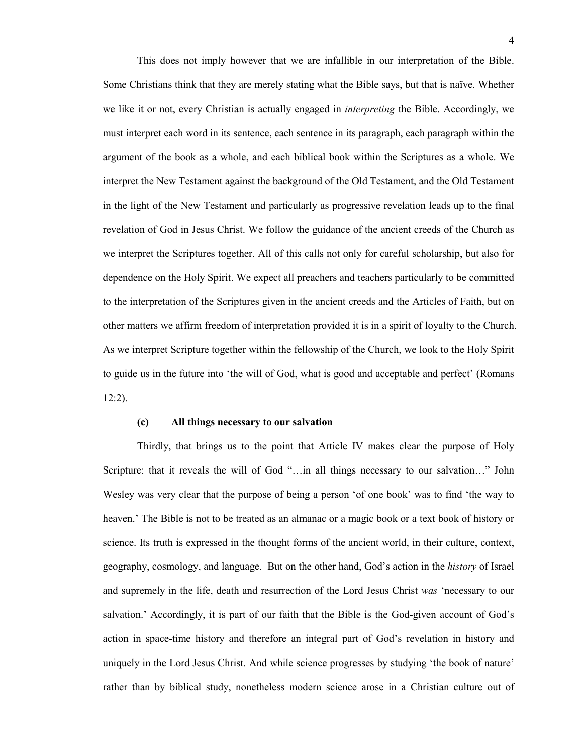This does not imply however that we are infallible in our interpretation of the Bible. Some Christians think that they are merely stating what the Bible says, but that is naïve. Whether we like it or not, every Christian is actually engaged in *interpreting* the Bible. Accordingly, we must interpret each word in its sentence, each sentence in its paragraph, each paragraph within the argument of the book as a whole, and each biblical book within the Scriptures as a whole. We interpret the New Testament against the background of the Old Testament, and the Old Testament in the light of the New Testament and particularly as progressive revelation leads up to the final revelation of God in Jesus Christ. We follow the guidance of the ancient creeds of the Church as we interpret the Scriptures together. All of this calls not only for careful scholarship, but also for dependence on the Holy Spirit. We expect all preachers and teachers particularly to be committed to the interpretation of the Scriptures given in the ancient creeds and the Articles of Faith, but on other matters we affirm freedom of interpretation provided it is in a spirit of loyalty to the Church. As we interpret Scripture together within the fellowship of the Church, we look to the Holy Spirit to guide us in the future into 'the will of God, what is good and acceptable and perfect' (Romans 12:2).

#### **(c) All things necessary to our salvation**

Thirdly, that brings us to the point that Article IV makes clear the purpose of Holy Scripture: that it reveals the will of God "…in all things necessary to our salvation…" John Wesley was very clear that the purpose of being a person 'of one book' was to find 'the way to heaven.' The Bible is not to be treated as an almanac or a magic book or a text book of history or science. Its truth is expressed in the thought forms of the ancient world, in their culture, context, geography, cosmology, and language. But on the other hand, God's action in the *history* of Israel and supremely in the life, death and resurrection of the Lord Jesus Christ *was* 'necessary to our salvation.' Accordingly, it is part of our faith that the Bible is the God-given account of God's action in space-time history and therefore an integral part of God's revelation in history and uniquely in the Lord Jesus Christ. And while science progresses by studying 'the book of nature' rather than by biblical study, nonetheless modern science arose in a Christian culture out of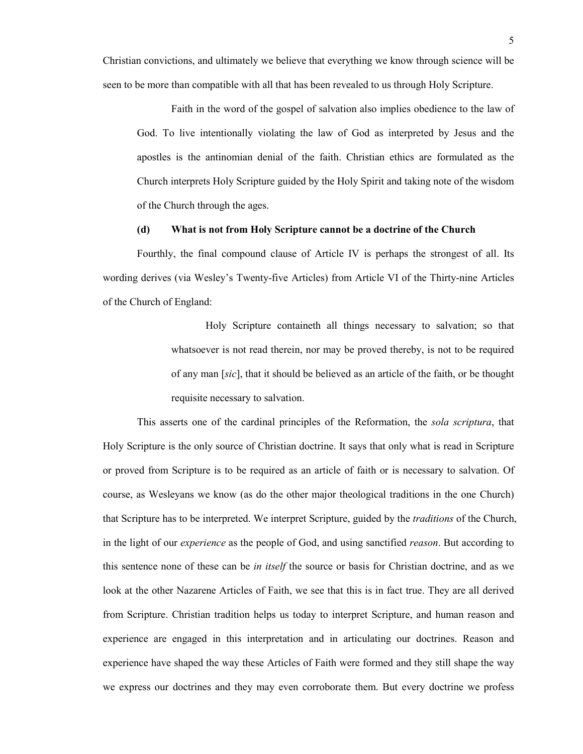Christian convictions, and ultimately we believe that everything we know through science will be seen to be more than compatible with all that has been revealed to us through Holy Scripture.

Faith in the word of the gospel of salvation also implies obedience to the law of God. To live intentionally violating the law of God as interpreted by Jesus and the apostles is the antinomian denial of the faith. Christian ethics are formulated as the Church interprets Holy Scripture guided by the Holy Spirit and taking note of the wisdom of the Church through the ages.

#### **(d) What is not from Holy Scripture cannot be a doctrine of the Church**

Fourthly, the final compound clause of Article IV is perhaps the strongest of all. Its wording derives (via Wesley's Twenty-five Articles) from Article VI of the Thirty-nine Articles of the Church of England:

> Holy Scripture containeth all things necessary to salvation; so that whatsoever is not read therein, nor may be proved thereby, is not to be required of any man [*sic*], that it should be believed as an article of the faith, or be thought requisite necessary to salvation.

This asserts one of the cardinal principles of the Reformation, the *sola scriptura*, that Holy Scripture is the only source of Christian doctrine. It says that only what is read in Scripture or proved from Scripture is to be required as an article of faith or is necessary to salvation. Of course, as Wesleyans we know (as do the other major theological traditions in the one Church) that Scripture has to be interpreted. We interpret Scripture, guided by the *traditions* of the Church, in the light of our *experience* as the people of God, and using sanctified *reason*. But according to this sentence none of these can be *in itself* the source or basis for Christian doctrine, and as we look at the other Nazarene Articles of Faith, we see that this is in fact true. They are all derived from Scripture. Christian tradition helps us today to interpret Scripture, and human reason and experience are engaged in this interpretation and in articulating our doctrines. Reason and experience have shaped the way these Articles of Faith were formed and they still shape the way we express our doctrines and they may even corroborate them. But every doctrine we profess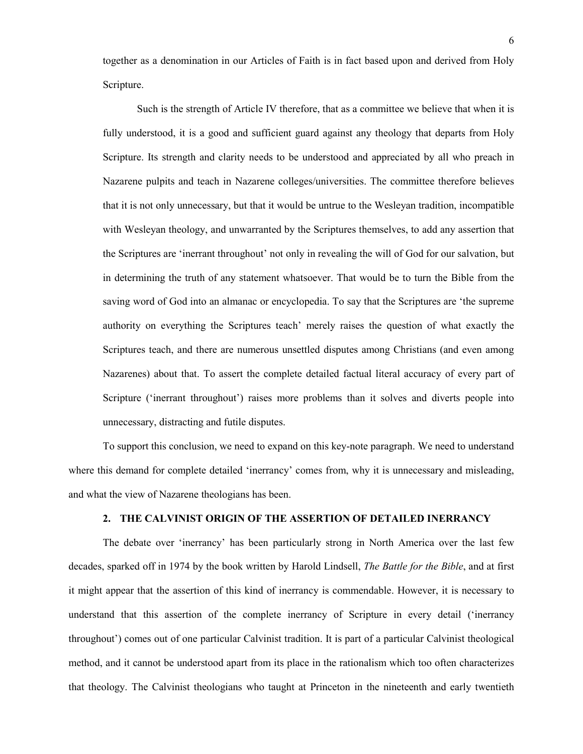together as a denomination in our Articles of Faith is in fact based upon and derived from Holy Scripture.

Such is the strength of Article IV therefore, that as a committee we believe that when it is fully understood, it is a good and sufficient guard against any theology that departs from Holy Scripture. Its strength and clarity needs to be understood and appreciated by all who preach in Nazarene pulpits and teach in Nazarene colleges/universities. The committee therefore believes that it is not only unnecessary, but that it would be untrue to the Wesleyan tradition, incompatible with Wesleyan theology, and unwarranted by the Scriptures themselves, to add any assertion that the Scriptures are 'inerrant throughout' not only in revealing the will of God for our salvation, but in determining the truth of any statement whatsoever. That would be to turn the Bible from the saving word of God into an almanac or encyclopedia. To say that the Scriptures are 'the supreme authority on everything the Scriptures teach' merely raises the question of what exactly the Scriptures teach, and there are numerous unsettled disputes among Christians (and even among Nazarenes) about that. To assert the complete detailed factual literal accuracy of every part of Scripture ('inerrant throughout') raises more problems than it solves and diverts people into unnecessary, distracting and futile disputes.

To support this conclusion, we need to expand on this key-note paragraph. We need to understand where this demand for complete detailed 'inerrancy' comes from, why it is unnecessary and misleading, and what the view of Nazarene theologians has been.

#### **2. THE CALVINIST ORIGIN OF THE ASSERTION OF DETAILED INERRANCY**

The debate over 'inerrancy' has been particularly strong in North America over the last few decades, sparked off in 1974 by the book written by Harold Lindsell, *The Battle for the Bible*, and at first it might appear that the assertion of this kind of inerrancy is commendable. However, it is necessary to understand that this assertion of the complete inerrancy of Scripture in every detail ('inerrancy throughout') comes out of one particular Calvinist tradition. It is part of a particular Calvinist theological method, and it cannot be understood apart from its place in the rationalism which too often characterizes that theology. The Calvinist theologians who taught at Princeton in the nineteenth and early twentieth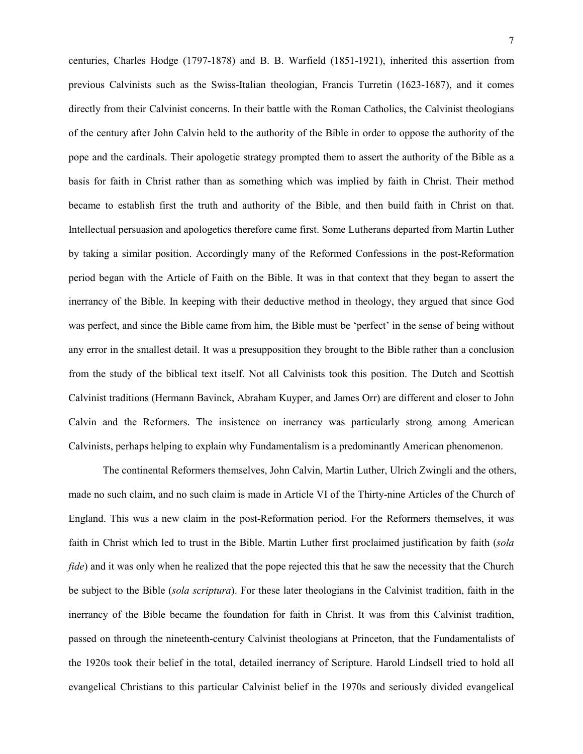centuries, Charles Hodge (1797-1878) and B. B. Warfield (1851-1921), inherited this assertion from previous Calvinists such as the Swiss-Italian theologian, Francis Turretin (1623-1687), and it comes directly from their Calvinist concerns. In their battle with the Roman Catholics, the Calvinist theologians of the century after John Calvin held to the authority of the Bible in order to oppose the authority of the pope and the cardinals. Their apologetic strategy prompted them to assert the authority of the Bible as a basis for faith in Christ rather than as something which was implied by faith in Christ. Their method became to establish first the truth and authority of the Bible, and then build faith in Christ on that. Intellectual persuasion and apologetics therefore came first. Some Lutherans departed from Martin Luther by taking a similar position. Accordingly many of the Reformed Confessions in the post-Reformation period began with the Article of Faith on the Bible. It was in that context that they began to assert the inerrancy of the Bible. In keeping with their deductive method in theology, they argued that since God was perfect, and since the Bible came from him, the Bible must be 'perfect' in the sense of being without any error in the smallest detail. It was a presupposition they brought to the Bible rather than a conclusion from the study of the biblical text itself. Not all Calvinists took this position. The Dutch and Scottish Calvinist traditions (Hermann Bavinck, Abraham Kuyper, and James Orr) are different and closer to John Calvin and the Reformers. The insistence on inerrancy was particularly strong among American Calvinists, perhaps helping to explain why Fundamentalism is a predominantly American phenomenon.

The continental Reformers themselves, John Calvin, Martin Luther, Ulrich Zwingli and the others, made no such claim, and no such claim is made in Article VI of the Thirty-nine Articles of the Church of England. This was a new claim in the post-Reformation period. For the Reformers themselves, it was faith in Christ which led to trust in the Bible. Martin Luther first proclaimed justification by faith (*sola fide*) and it was only when he realized that the pope rejected this that he saw the necessity that the Church be subject to the Bible (*sola scriptura*). For these later theologians in the Calvinist tradition, faith in the inerrancy of the Bible became the foundation for faith in Christ. It was from this Calvinist tradition, passed on through the nineteenth-century Calvinist theologians at Princeton, that the Fundamentalists of the 1920s took their belief in the total, detailed inerrancy of Scripture. Harold Lindsell tried to hold all evangelical Christians to this particular Calvinist belief in the 1970s and seriously divided evangelical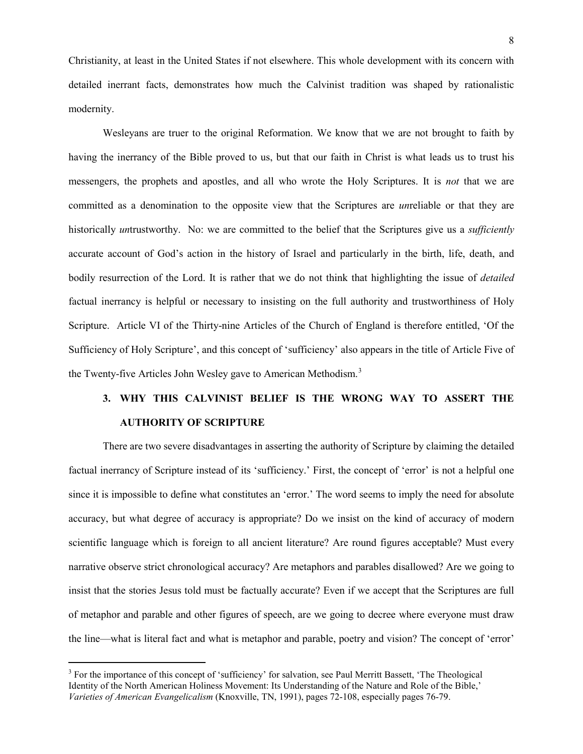Christianity, at least in the United States if not elsewhere. This whole development with its concern with detailed inerrant facts, demonstrates how much the Calvinist tradition was shaped by rationalistic modernity.

Wesleyans are truer to the original Reformation. We know that we are not brought to faith by having the inerrancy of the Bible proved to us, but that our faith in Christ is what leads us to trust his messengers, the prophets and apostles, and all who wrote the Holy Scriptures. It is *not* that we are committed as a denomination to the opposite view that the Scriptures are *un*reliable or that they are historically *un*trustworthy. No: we are committed to the belief that the Scriptures give us a *sufficiently* accurate account of God's action in the history of Israel and particularly in the birth, life, death, and bodily resurrection of the Lord. It is rather that we do not think that highlighting the issue of *detailed* factual inerrancy is helpful or necessary to insisting on the full authority and trustworthiness of Holy Scripture. Article VI of the Thirty-nine Articles of the Church of England is therefore entitled, 'Of the Sufficiency of Holy Scripture', and this concept of 'sufficiency' also appears in the title of Article Five of the Twenty-five Articles John Wesley gave to American Methodism.<sup>[3](#page-8-0)</sup>

## **3. WHY THIS CALVINIST BELIEF IS THE WRONG WAY TO ASSERT THE AUTHORITY OF SCRIPTURE**

There are two severe disadvantages in asserting the authority of Scripture by claiming the detailed factual inerrancy of Scripture instead of its 'sufficiency.' First, the concept of 'error' is not a helpful one since it is impossible to define what constitutes an 'error.' The word seems to imply the need for absolute accuracy, but what degree of accuracy is appropriate? Do we insist on the kind of accuracy of modern scientific language which is foreign to all ancient literature? Are round figures acceptable? Must every narrative observe strict chronological accuracy? Are metaphors and parables disallowed? Are we going to insist that the stories Jesus told must be factually accurate? Even if we accept that the Scriptures are full of metaphor and parable and other figures of speech, are we going to decree where everyone must draw the line—what is literal fact and what is metaphor and parable, poetry and vision? The concept of 'error'

l

<span id="page-8-0"></span><sup>&</sup>lt;sup>3</sup> For the importance of this concept of 'sufficiency' for salvation, see Paul Merritt Bassett, 'The Theological Identity of the North American Holiness Movement: Its Understanding of the Nature and Role of the Bible,' *Varieties of American Evangelicalism* (Knoxville, TN, 1991), pages 72-108, especially pages 76-79.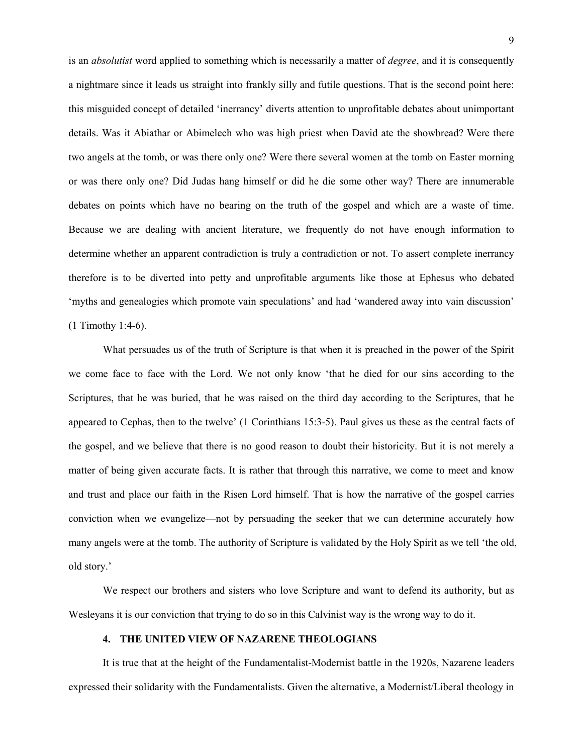is an *absolutist* word applied to something which is necessarily a matter of *degree*, and it is consequently a nightmare since it leads us straight into frankly silly and futile questions. That is the second point here: this misguided concept of detailed 'inerrancy' diverts attention to unprofitable debates about unimportant details. Was it Abiathar or Abimelech who was high priest when David ate the showbread? Were there two angels at the tomb, or was there only one? Were there several women at the tomb on Easter morning or was there only one? Did Judas hang himself or did he die some other way? There are innumerable debates on points which have no bearing on the truth of the gospel and which are a waste of time. Because we are dealing with ancient literature, we frequently do not have enough information to determine whether an apparent contradiction is truly a contradiction or not. To assert complete inerrancy therefore is to be diverted into petty and unprofitable arguments like those at Ephesus who debated 'myths and genealogies which promote vain speculations' and had 'wandered away into vain discussion' (1 Timothy 1:4-6).

What persuades us of the truth of Scripture is that when it is preached in the power of the Spirit we come face to face with the Lord. We not only know 'that he died for our sins according to the Scriptures, that he was buried, that he was raised on the third day according to the Scriptures, that he appeared to Cephas, then to the twelve' (1 Corinthians 15:3-5). Paul gives us these as the central facts of the gospel, and we believe that there is no good reason to doubt their historicity. But it is not merely a matter of being given accurate facts. It is rather that through this narrative, we come to meet and know and trust and place our faith in the Risen Lord himself. That is how the narrative of the gospel carries conviction when we evangelize—not by persuading the seeker that we can determine accurately how many angels were at the tomb. The authority of Scripture is validated by the Holy Spirit as we tell 'the old, old story.'

We respect our brothers and sisters who love Scripture and want to defend its authority, but as Wesleyans it is our conviction that trying to do so in this Calvinist way is the wrong way to do it.

#### **4. THE UNITED VIEW OF NAZARENE THEOLOGIANS**

It is true that at the height of the Fundamentalist-Modernist battle in the 1920s, Nazarene leaders expressed their solidarity with the Fundamentalists. Given the alternative, a Modernist/Liberal theology in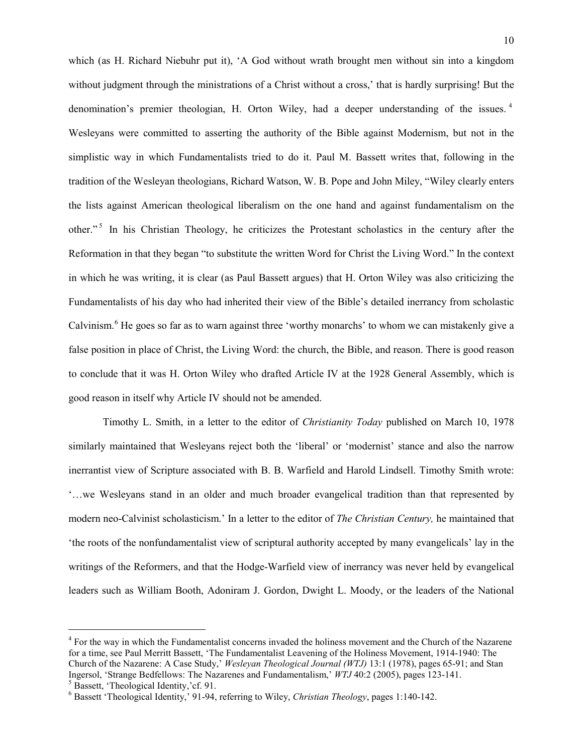which (as H. Richard Niebuhr put it), 'A God without wrath brought men without sin into a kingdom without judgment through the ministrations of a Christ without a cross,' that is hardly surprising! But the denomination's premier theologian, H. Orton Wiley, had a deeper understanding of the issues.<sup>[4](#page-10-0)</sup> Wesleyans were committed to asserting the authority of the Bible against Modernism, but not in the simplistic way in which Fundamentalists tried to do it. Paul M. Bassett writes that, following in the tradition of the Wesleyan theologians, Richard Watson, W. B. Pope and John Miley, "Wiley clearly enters the lists against American theological liberalism on the one hand and against fundamentalism on the other."<sup>[5](#page-10-1)</sup> In his Christian Theology, he criticizes the Protestant scholastics in the century after the Reformation in that they began "to substitute the written Word for Christ the Living Word." In the context in which he was writing, it is clear (as Paul Bassett argues) that H. Orton Wiley was also criticizing the Fundamentalists of his day who had inherited their view of the Bible's detailed inerrancy from scholastic Calvinism.<sup>[6](#page-10-2)</sup> He goes so far as to warn against three 'worthy monarchs' to whom we can mistakenly give a false position in place of Christ, the Living Word: the church, the Bible, and reason. There is good reason to conclude that it was H. Orton Wiley who drafted Article IV at the 1928 General Assembly, which is good reason in itself why Article IV should not be amended.

Timothy L. Smith, in a letter to the editor of *Christianity Today* published on March 10, 1978 similarly maintained that Wesleyans reject both the 'liberal' or 'modernist' stance and also the narrow inerrantist view of Scripture associated with B. B. Warfield and Harold Lindsell. Timothy Smith wrote: '…we Wesleyans stand in an older and much broader evangelical tradition than that represented by modern neo-Calvinist scholasticism.' In a letter to the editor of *The Christian Century,* he maintained that 'the roots of the nonfundamentalist view of scriptural authority accepted by many evangelicals' lay in the writings of the Reformers, and that the Hodge-Warfield view of inerrancy was never held by evangelical leaders such as William Booth, Adoniram J. Gordon, Dwight L. Moody, or the leaders of the National

l

<span id="page-10-0"></span><sup>&</sup>lt;sup>4</sup> For the way in which the Fundamentalist concerns invaded the holiness movement and the Church of the Nazarene for a time, see Paul Merritt Bassett, 'The Fundamentalist Leavening of the Holiness Movement, 1914-1940: The Church of the Nazarene: A Case Study,' *Wesleyan Theological Journal (WTJ)* 13:1 (1978), pages 65-91; and Stan Ingersol, 'Strange Bedfellows: The Nazarenes and Fundamentalism,' *WTJ* 40:2 (2005), pages 123-141.

<span id="page-10-2"></span><span id="page-10-1"></span>

 $^5$  Bassett, 'Theological Identity,' cf. 91.<br>  $^6$  Bassett 'Theological Identity,' 91-94, referring to Wiley, *Christian Theology*, pages 1:140-142.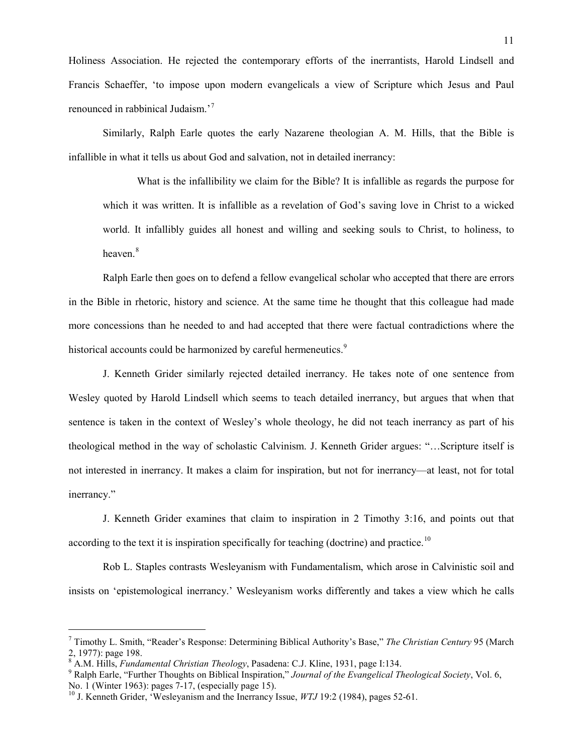Holiness Association. He rejected the contemporary efforts of the inerrantists, Harold Lindsell and Francis Schaeffer, 'to impose upon modern evangelicals a view of Scripture which Jesus and Paul renounced in rabbinical Judaism.'[7](#page-11-0)

Similarly, Ralph Earle quotes the early Nazarene theologian A. M. Hills, that the Bible is infallible in what it tells us about God and salvation, not in detailed inerrancy:

What is the infallibility we claim for the Bible? It is infallible as regards the purpose for which it was written. It is infallible as a revelation of God's saving love in Christ to a wicked world. It infallibly guides all honest and willing and seeking souls to Christ, to holiness, to heaven<sup>[8](#page-11-1)</sup>

Ralph Earle then goes on to defend a fellow evangelical scholar who accepted that there are errors in the Bible in rhetoric, history and science. At the same time he thought that this colleague had made more concessions than he needed to and had accepted that there were factual contradictions where the historical accounts could be harmonized by careful hermeneutics.<sup>[9](#page-11-2)</sup>

J. Kenneth Grider similarly rejected detailed inerrancy. He takes note of one sentence from Wesley quoted by Harold Lindsell which seems to teach detailed inerrancy, but argues that when that sentence is taken in the context of Wesley's whole theology, he did not teach inerrancy as part of his theological method in the way of scholastic Calvinism. J. Kenneth Grider argues: "…Scripture itself is not interested in inerrancy. It makes a claim for inspiration, but not for inerrancy—at least, not for total inerrancy."

J. Kenneth Grider examines that claim to inspiration in 2 Timothy 3:16, and points out that according to the text it is inspiration specifically for teaching (doctrine) and practice.<sup>[10](#page-11-3)</sup>

Rob L. Staples contrasts Wesleyanism with Fundamentalism, which arose in Calvinistic soil and insists on 'epistemological inerrancy.' Wesleyanism works differently and takes a view which he calls

l

<span id="page-11-0"></span><sup>7</sup> Timothy L. Smith, "Reader's Response: Determining Biblical Authority's Base," *The Christian Century* 95 (March 2, 1977): page 198.<br><sup>8</sup> A.M. Hills, *Fundamental Christian Theology*, Pasadena: C.J. Kline, 1931, page I:134.

<span id="page-11-2"></span><span id="page-11-1"></span><sup>&</sup>lt;sup>9</sup> Ralph Earle, "Further Thoughts on Biblical Inspiration," *Journal of the Evangelical Theological Society*, Vol. 6, No. 1 (Winter 1963): pages 7-17, (especially page 15).

<span id="page-11-3"></span><sup>&</sup>lt;sup>10</sup> J. Kenneth Grider. 'Wesleyanism and the Inerrancy Issue, *WTJ* 19:2 (1984), pages 52-61.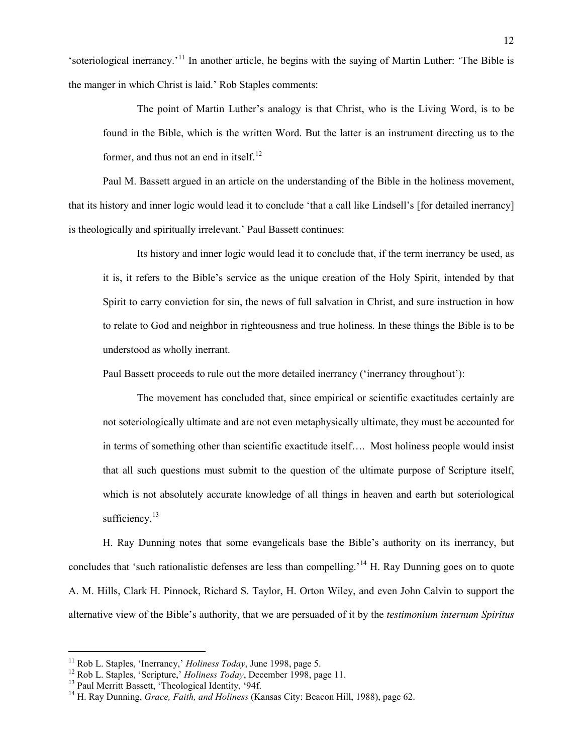'soteriological inerrancy.'[11](#page-12-0) In another article, he begins with the saying of Martin Luther: 'The Bible is the manger in which Christ is laid.' Rob Staples comments:

The point of Martin Luther's analogy is that Christ, who is the Living Word, is to be found in the Bible, which is the written Word. But the latter is an instrument directing us to the former, and thus not an end in itself. $^{12}$  $^{12}$  $^{12}$ 

Paul M. Bassett argued in an article on the understanding of the Bible in the holiness movement, that its history and inner logic would lead it to conclude 'that a call like Lindsell's [for detailed inerrancy] is theologically and spiritually irrelevant.' Paul Bassett continues:

Its history and inner logic would lead it to conclude that, if the term inerrancy be used, as it is, it refers to the Bible's service as the unique creation of the Holy Spirit, intended by that Spirit to carry conviction for sin, the news of full salvation in Christ, and sure instruction in how to relate to God and neighbor in righteousness and true holiness. In these things the Bible is to be understood as wholly inerrant.

Paul Bassett proceeds to rule out the more detailed inerrancy ('inerrancy throughout'):

The movement has concluded that, since empirical or scientific exactitudes certainly are not soteriologically ultimate and are not even metaphysically ultimate, they must be accounted for in terms of something other than scientific exactitude itself…. Most holiness people would insist that all such questions must submit to the question of the ultimate purpose of Scripture itself, which is not absolutely accurate knowledge of all things in heaven and earth but soteriological sufficiency.<sup>[13](#page-12-2)</sup>

H. Ray Dunning notes that some evangelicals base the Bible's authority on its inerrancy, but concludes that 'such rationalistic defenses are less than compelling.'[14](#page-12-3) H. Ray Dunning goes on to quote A. M. Hills, Clark H. Pinnock, Richard S. Taylor, H. Orton Wiley, and even John Calvin to support the alternative view of the Bible's authority, that we are persuaded of it by the *testimonium internum Spiritus* 

<span id="page-12-0"></span>

<span id="page-12-1"></span>

<span id="page-12-3"></span><span id="page-12-2"></span>

<sup>&</sup>lt;sup>11</sup> Rob L. Staples, 'Inerrancy,' *Holiness Today*, June 1998, page 5.<br><sup>12</sup> Rob L. Staples, 'Scripture,' *Holiness Today*, December 1998, page 11.<br><sup>13</sup> Paul Merritt Bassett, 'Theological Identity, '94f.<br><sup>14</sup> H. Ray Dunning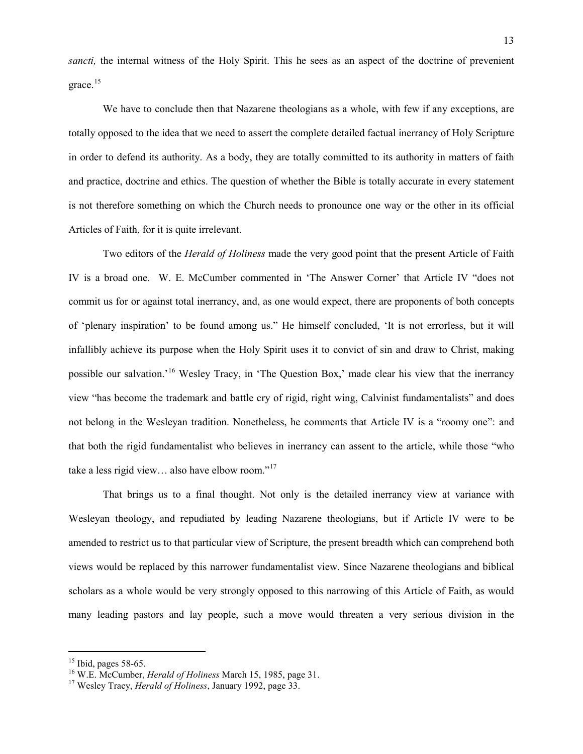*sancti,* the internal witness of the Holy Spirit. This he sees as an aspect of the doctrine of prevenient grace.<sup>[15](#page-13-0)</sup>

We have to conclude then that Nazarene theologians as a whole, with few if any exceptions, are totally opposed to the idea that we need to assert the complete detailed factual inerrancy of Holy Scripture in order to defend its authority. As a body, they are totally committed to its authority in matters of faith and practice, doctrine and ethics. The question of whether the Bible is totally accurate in every statement is not therefore something on which the Church needs to pronounce one way or the other in its official Articles of Faith, for it is quite irrelevant.

Two editors of the *Herald of Holiness* made the very good point that the present Article of Faith IV is a broad one. W. E. McCumber commented in 'The Answer Corner' that Article IV "does not commit us for or against total inerrancy, and, as one would expect, there are proponents of both concepts of 'plenary inspiration' to be found among us." He himself concluded, 'It is not errorless, but it will infallibly achieve its purpose when the Holy Spirit uses it to convict of sin and draw to Christ, making possible our salvation.'[16](#page-13-1) Wesley Tracy, in 'The Question Box,' made clear his view that the inerrancy view "has become the trademark and battle cry of rigid, right wing, Calvinist fundamentalists" and does not belong in the Wesleyan tradition. Nonetheless, he comments that Article IV is a "roomy one": and that both the rigid fundamentalist who believes in inerrancy can assent to the article, while those "who take a less rigid view… also have elbow room."[17](#page-13-2) 

That brings us to a final thought. Not only is the detailed inerrancy view at variance with Wesleyan theology, and repudiated by leading Nazarene theologians, but if Article IV were to be amended to restrict us to that particular view of Scripture, the present breadth which can comprehend both views would be replaced by this narrower fundamentalist view. Since Nazarene theologians and biblical scholars as a whole would be very strongly opposed to this narrowing of this Article of Faith, as would many leading pastors and lay people, such a move would threaten a very serious division in the

<span id="page-13-1"></span><span id="page-13-0"></span><sup>&</sup>lt;sup>15</sup> Ibid, pages 58-65.<br><sup>16</sup> W.E. McCumber, *Herald of Holiness* March 15, 1985, page 31.<br><sup>17</sup> Wesley Tracy, *Herald of Holiness*, January 1992, page 33.

<span id="page-13-2"></span>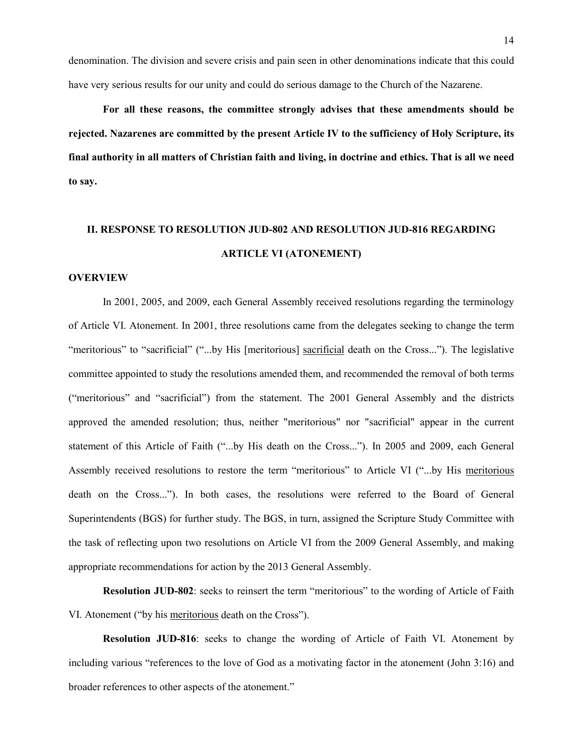denomination. The division and severe crisis and pain seen in other denominations indicate that this could have very serious results for our unity and could do serious damage to the Church of the Nazarene.

**For all these reasons, the committee strongly advises that these amendments should be rejected. Nazarenes are committed by the present Article IV to the sufficiency of Holy Scripture, its final authority in all matters of Christian faith and living, in doctrine and ethics. That is all we need to say.**

# **II. RESPONSE TO RESOLUTION JUD-802 AND RESOLUTION JUD-816 REGARDING ARTICLE VI (ATONEMENT)**

#### **OVERVIEW**

In 2001, 2005, and 2009, each General Assembly received resolutions regarding the terminology of Article VI. Atonement. In 2001, three resolutions came from the delegates seeking to change the term "meritorious" to "sacrificial" ("...by His [meritorious] sacrificial death on the Cross..."). The legislative committee appointed to study the resolutions amended them, and recommended the removal of both terms ("meritorious" and "sacrificial") from the statement. The 2001 General Assembly and the districts approved the amended resolution; thus, neither "meritorious" nor "sacrificial" appear in the current statement of this Article of Faith ("...by His death on the Cross..."). In 2005 and 2009, each General Assembly received resolutions to restore the term "meritorious" to Article VI ("...by His meritorious death on the Cross..."). In both cases, the resolutions were referred to the Board of General Superintendents (BGS) for further study. The BGS, in turn, assigned the Scripture Study Committee with the task of reflecting upon two resolutions on Article VI from the 2009 General Assembly, and making appropriate recommendations for action by the 2013 General Assembly.

**Resolution JUD-802**: seeks to reinsert the term "meritorious" to the wording of Article of Faith VI. Atonement ("by his meritorious death on the Cross").

**Resolution JUD-816**: seeks to change the wording of Article of Faith VI. Atonement by including various "references to the love of God as a motivating factor in the atonement (John 3:16) and broader references to other aspects of the atonement."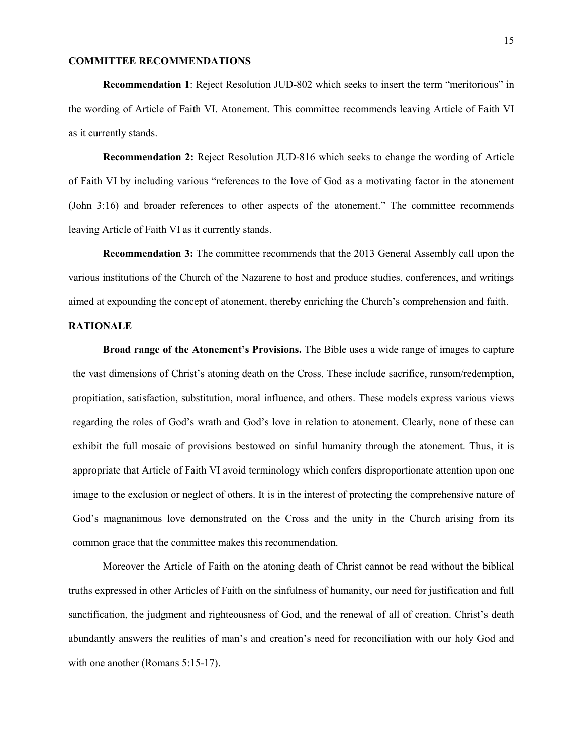#### **COMMITTEE RECOMMENDATIONS**

**Recommendation 1**: Reject Resolution JUD-802 which seeks to insert the term "meritorious" in the wording of Article of Faith VI. Atonement. This committee recommends leaving Article of Faith VI as it currently stands.

**Recommendation 2:** Reject Resolution JUD-816 which seeks to change the wording of Article of Faith VI by including various "references to the love of God as a motivating factor in the atonement (John 3:16) and broader references to other aspects of the atonement." The committee recommends leaving Article of Faith VI as it currently stands.

**Recommendation 3:** The committee recommends that the 2013 General Assembly call upon the various institutions of the Church of the Nazarene to host and produce studies, conferences, and writings aimed at expounding the concept of atonement, thereby enriching the Church's comprehension and faith.

#### **RATIONALE**

**Broad range of the Atonement's Provisions.** The Bible uses a wide range of images to capture the vast dimensions of Christ's atoning death on the Cross. These include sacrifice, ransom/redemption, propitiation, satisfaction, substitution, moral influence, and others. These models express various views regarding the roles of God's wrath and God's love in relation to atonement. Clearly, none of these can exhibit the full mosaic of provisions bestowed on sinful humanity through the atonement. Thus, it is appropriate that Article of Faith VI avoid terminology which confers disproportionate attention upon one image to the exclusion or neglect of others. It is in the interest of protecting the comprehensive nature of God's magnanimous love demonstrated on the Cross and the unity in the Church arising from its common grace that the committee makes this recommendation.

Moreover the Article of Faith on the atoning death of Christ cannot be read without the biblical truths expressed in other Articles of Faith on the sinfulness of humanity, our need for justification and full sanctification, the judgment and righteousness of God, and the renewal of all of creation. Christ's death abundantly answers the realities of man's and creation's need for reconciliation with our holy God and with one another (Romans 5:15-17).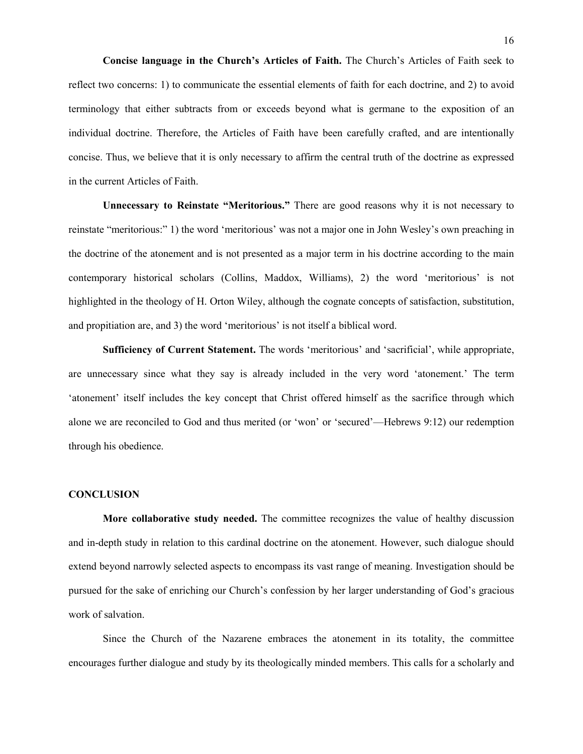**Concise language in the Church's Articles of Faith.** The Church's Articles of Faith seek to reflect two concerns: 1) to communicate the essential elements of faith for each doctrine, and 2) to avoid terminology that either subtracts from or exceeds beyond what is germane to the exposition of an individual doctrine. Therefore, the Articles of Faith have been carefully crafted, and are intentionally concise. Thus, we believe that it is only necessary to affirm the central truth of the doctrine as expressed in the current Articles of Faith.

**Unnecessary to Reinstate "Meritorious."** There are good reasons why it is not necessary to reinstate "meritorious:" 1) the word 'meritorious' was not a major one in John Wesley's own preaching in the doctrine of the atonement and is not presented as a major term in his doctrine according to the main contemporary historical scholars (Collins, Maddox, Williams), 2) the word 'meritorious' is not highlighted in the theology of H. Orton Wiley, although the cognate concepts of satisfaction, substitution, and propitiation are, and 3) the word 'meritorious' is not itself a biblical word.

**Sufficiency of Current Statement.** The words 'meritorious' and 'sacrificial', while appropriate, are unnecessary since what they say is already included in the very word 'atonement.' The term 'atonement' itself includes the key concept that Christ offered himself as the sacrifice through which alone we are reconciled to God and thus merited (or 'won' or 'secured'—Hebrews 9:12) our redemption through his obedience.

#### **CONCLUSION**

**More collaborative study needed.** The committee recognizes the value of healthy discussion and in-depth study in relation to this cardinal doctrine on the atonement. However, such dialogue should extend beyond narrowly selected aspects to encompass its vast range of meaning. Investigation should be pursued for the sake of enriching our Church's confession by her larger understanding of God's gracious work of salvation.

Since the Church of the Nazarene embraces the atonement in its totality, the committee encourages further dialogue and study by its theologically minded members. This calls for a scholarly and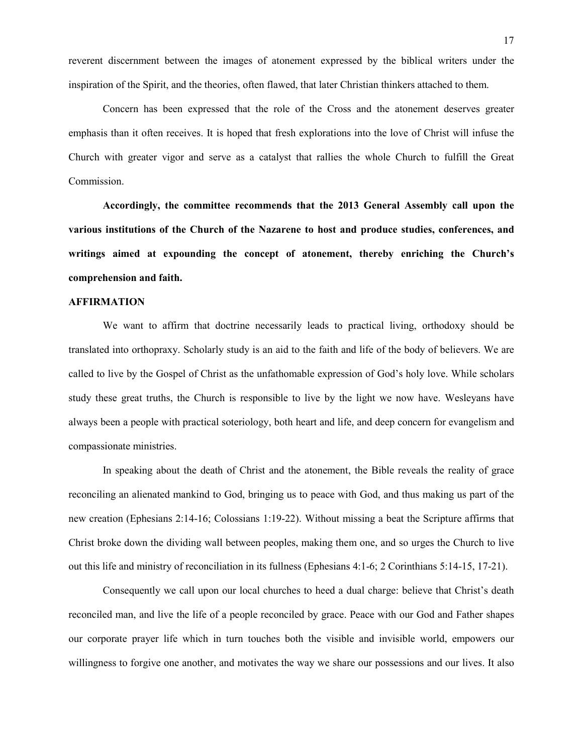reverent discernment between the images of atonement expressed by the biblical writers under the inspiration of the Spirit, and the theories, often flawed, that later Christian thinkers attached to them.

Concern has been expressed that the role of the Cross and the atonement deserves greater emphasis than it often receives. It is hoped that fresh explorations into the love of Christ will infuse the Church with greater vigor and serve as a catalyst that rallies the whole Church to fulfill the Great Commission.

**Accordingly, the committee recommends that the 2013 General Assembly call upon the various institutions of the Church of the Nazarene to host and produce studies, conferences, and writings aimed at expounding the concept of atonement, thereby enriching the Church's comprehension and faith.**

#### **AFFIRMATION**

We want to affirm that doctrine necessarily leads to practical living, orthodoxy should be translated into orthopraxy. Scholarly study is an aid to the faith and life of the body of believers. We are called to live by the Gospel of Christ as the unfathomable expression of God's holy love. While scholars study these great truths, the Church is responsible to live by the light we now have. Wesleyans have always been a people with practical soteriology, both heart and life, and deep concern for evangelism and compassionate ministries.

In speaking about the death of Christ and the atonement, the Bible reveals the reality of grace reconciling an alienated mankind to God, bringing us to peace with God, and thus making us part of the new creation (Ephesians 2:14-16; Colossians 1:19-22). Without missing a beat the Scripture affirms that Christ broke down the dividing wall between peoples, making them one, and so urges the Church to live out this life and ministry of reconciliation in its fullness (Ephesians 4:1-6; 2 Corinthians 5:14-15, 17-21).

Consequently we call upon our local churches to heed a dual charge: believe that Christ's death reconciled man, and live the life of a people reconciled by grace. Peace with our God and Father shapes our corporate prayer life which in turn touches both the visible and invisible world, empowers our willingness to forgive one another, and motivates the way we share our possessions and our lives. It also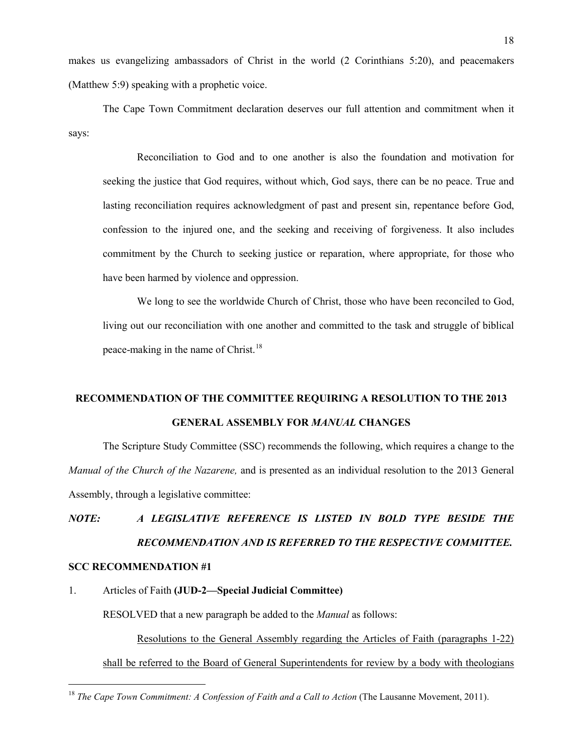makes us evangelizing ambassadors of Christ in the world (2 Corinthians 5:20), and peacemakers (Matthew 5:9) speaking with a prophetic voice.

The Cape Town Commitment declaration deserves our full attention and commitment when it says:

Reconciliation to God and to one another is also the foundation and motivation for seeking the justice that God requires, without which, God says, there can be no peace. True and lasting reconciliation requires acknowledgment of past and present sin, repentance before God, confession to the injured one, and the seeking and receiving of forgiveness. It also includes commitment by the Church to seeking justice or reparation, where appropriate, for those who have been harmed by violence and oppression.

We long to see the worldwide Church of Christ, those who have been reconciled to God, living out our reconciliation with one another and committed to the task and struggle of biblical peace-making in the name of Christ.<sup>[18](#page-18-0)</sup>

# **RECOMMENDATION OF THE COMMITTEE REQUIRING A RESOLUTION TO THE 2013 GENERAL ASSEMBLY FOR** *MANUAL* **CHANGES**

The Scripture Study Committee (SSC) recommends the following, which requires a change to the *Manual of the Church of the Nazarene,* and is presented as an individual resolution to the 2013 General Assembly, through a legislative committee:

# *NOTE: A LEGISLATIVE REFERENCE IS LISTED IN BOLD TYPE BESIDE THE RECOMMENDATION AND IS REFERRED TO THE RESPECTIVE COMMITTEE.* **SCC RECOMMENDATION #1**

#### 1. Articles of Faith **(JUD-2—Special Judicial Committee)**

RESOLVED that a new paragraph be added to the *Manual* as follows:

Resolutions to the General Assembly regarding the Articles of Faith (paragraphs 1-22) shall be referred to the Board of General Superintendents for review by a body with theologians

<span id="page-18-0"></span><sup>&</sup>lt;sup>18</sup> *The Cape Town Commitment: A Confession of Faith and a Call to Action* (The Lausanne Movement, 2011).